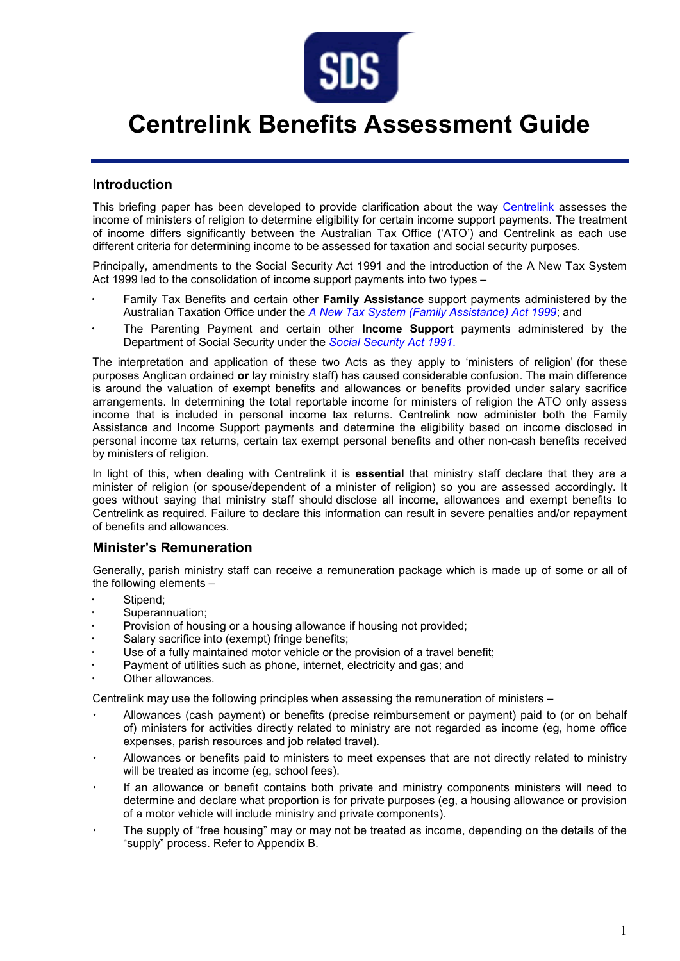

# **Centrelink Benefits Assessment Guide**

#### **Introduction**

This briefing paper has been developed to provide clarification about the way [Centrelink](http://www.centrelink.gov.au/internet/internet.nsf/home/index.htm) assesses the income of ministers of religion to determine eligibility for certain income support payments. The treatment of income differs significantly between the Australian Tax Office ('ATO') and Centrelink as each use different criteria for determining income to be assessed for taxation and social security purposes.

Principally, amendments to the Social Security Act 1991 and the introduction of the A New Tax System Act 1999 led to the consolidation of income support payments into two types –

- Family Tax Benefits and certain other **Family Assistance** support payments administered by the Australian Taxation Office under the *[A New Tax System \(Family Assistance\) Act 1999](http://www.austlii.edu.au/au/legis/cth/consol_act/antsaa1999357)*; and
- The Parenting Payment and certain other **Income Support** payments administered by the Department of Social Security under the *[Social Security Act 1991](http://www.austlii.edu.au/au/legis/cth/consol_act/ssa1991186)*.

The interpretation and application of these two Acts as they apply to 'ministers of religion' (for these purposes Anglican ordained **or** lay ministry staff) has caused considerable confusion. The main difference is around the valuation of exempt benefits and allowances or benefits provided under salary sacrifice arrangements. In determining the total reportable income for ministers of religion the ATO only assess income that is included in personal income tax returns. Centrelink now administer both the Family Assistance and Income Support payments and determine the eligibility based on income disclosed in personal income tax returns, certain tax exempt personal benefits and other non-cash benefits received by ministers of religion.

In light of this, when dealing with Centrelink it is **essential** that ministry staff declare that they are a minister of religion (or spouse/dependent of a minister of religion) so you are assessed accordingly. It goes without saying that ministry staff should disclose all income, allowances and exempt benefits to Centrelink as required. Failure to declare this information can result in severe penalties and/or repayment [of benefits](http://www.fahcsia.gov.au/guides_acts/falaw/faaa/c69acc1f/9b3c0492/9a23deb6/bf11e3dd.html) and allowances.

#### **Minister's Remuneration**

Generally, parish ministry staff can receive a remuneration package which is made up of some or all of the following elements –

- Stipend;
- Superannuation;
- Provision of housing or a housing allowance if housing not provided;
- Salary sacrifice into (exempt) fringe benefits;
- Use of a fully maintained motor vehicle or the provision of a travel benefit;
- Payment of utilities such as phone, internet, electricity and gas; and
- Other allowances.

Centrelink may use the following principles when assessing the remuneration of ministers –

- Allowances (cash payment) or benefits (precise reimbursement or payment) paid to (or on behalf of) ministers for activities directly related to ministry are not regarded as income (eg, home office expenses, parish resources and job related travel).
- Allowances or benefits paid to ministers to meet expenses that are not directly related to ministry will be treated as income (eg, school fees).
- If an allowance or benefit contains both private and ministry components ministers will need to determine and declare what proportion is for private purposes (eg, a housing allowance or provision of a motor vehicle will include ministry and private components).
- The supply of "free housing" may or may not be treated as income, depending on the details of the "supply" process. Refer to Appendix B.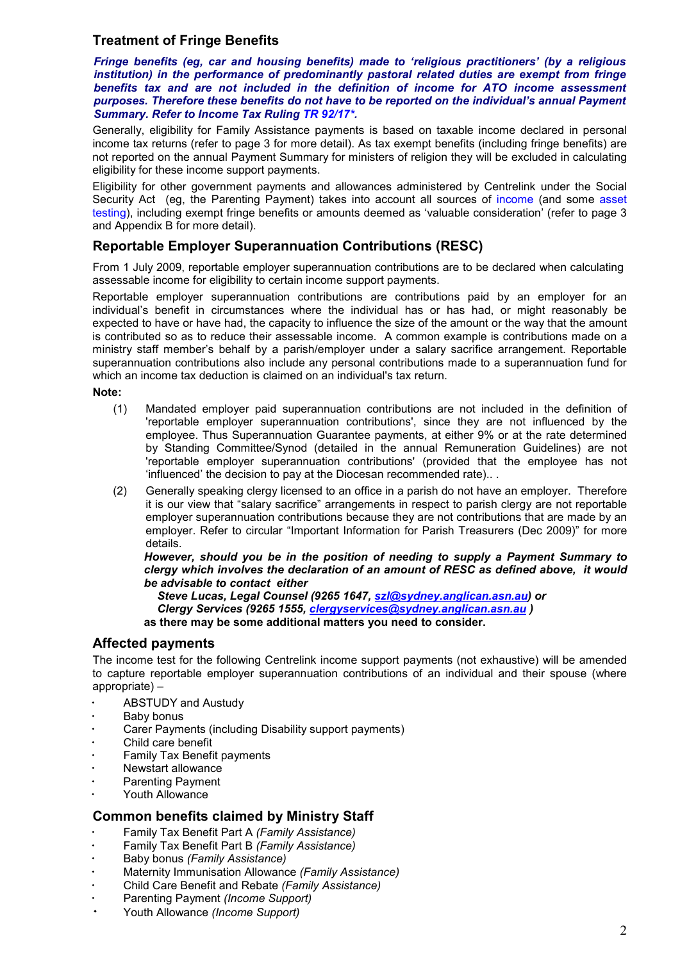### **Treatment of Fringe Benefits**

*Fringe benefits (eg, car and housing benefits) made to 'religious practitioners' (by a religious institution) in the performance of predominantly pastoral related duties are exempt from fringe benefits tax and are not included in the definition of income for ATO income assessment purposes. Therefore these benefits do not have to be reported on the individual's annual Payment Summary. Refer to Income Tax Ruling [TR 92/17\\*.](http://sds.asn.au/assets/Documents/churchwardens and parish councillors/00. Remuneration Guidelines attachments/TaxationRulingTR92-17.pdf)* 

Generally, eligibility for Family Assistance payments is based on taxable income declared in personal income tax returns (refer to page 3 for more detail). As tax exempt benefits (including fringe benefits) are not reported on the annual Payment Summary for ministers of religion they will be excluded in calculating eligibility for these income support payments.

Eligibility for other government payments and allowances administered by Centrelink under the Social Security Act (eg, the Parenting Payment) takes into account all sources of [income](http://www.centrelink.gov.au/internet/internet.nsf/factors/income.htm) (and some [asset](http://www.centrelink.gov.au/internet/internet.nsf/payments/chartab.htm)  [testing\)](http://www.centrelink.gov.au/internet/internet.nsf/payments/chartab.htm), including exempt fringe benefits or amounts deemed as 'valuable consideration' (refer to page 3 and Appendix B for more detail).

#### **Reportable Employer Superannuation Contributions (RESC)**

From 1 July 2009, reportable employer superannuation contributions are to be declared when calculating assessable income for eligibility to certain income support payments.

Reportable employer superannuation contributions are contributions paid by an employer for an individual's benefit in circumstances where the individual has or has had, or might reasonably be expected to have or have had, the capacity to influence the size of the amount or the way that the amount is contributed so as to reduce their assessable income. A common example is contributions made on a ministry staff member's behalf by a parish/employer under a salary sacrifice arrangement. Reportable superannuation contributions also include any personal contributions made to a superannuation fund for which an income tax deduction is claimed on an individual's tax return.

**Note:**

- (1) Mandated employer paid superannuation contributions are not included in the definition of 'reportable employer superannuation contributions', since they are not influenced by the employee. Thus Superannuation Guarantee payments, at either 9% or at the rate determined by Standing Committee/Synod (detailed in the annual Remuneration Guidelines) are not 'reportable employer superannuation contributions' (provided that the employee has not 'influenced' the decision to pay at the Diocesan recommended rate).. .
- (2) Generally speaking clergy licensed to an office in a parish do not have an employer. Therefore it is our view that "salary sacrifice" arrangements in respect to parish clergy are not reportable employer superannuation contributions because they are not contributions that are made by an employer. Refer to circular "Important Information for Parish Treasurers (Dec 2009)" for more details.

*However, should you be in the position of needing to supply a Payment Summary to clergy which involves the declaration of an amount of RESC as defined above, it would be advisable to contact either* 

*Steve Lucas, Legal Counsel (9265 1647, [szl@sydney.anglican.asn.au\)](mailto:szl@sydney.anglican.asn.au) or Clergy Services (9265 1555, [clergyservices@sydney.anglican.asn.au](mailto:clergyservices@sydney.anglican.asn.au) )* 

**as there may be some additional matters you need to consider.**

#### **Affected payments**

The income test for the following Centrelink income support payments (not exhaustive) will be amended to capture reportable employer superannuation contributions of an individual and their spouse (where appropriate) –

- [ABSTUDY](http://www.fahcsia.gov.au/Guides_Acts/fag/fa-aclist/fa_a.html%23FA-ABSTUDY) and Austudy
- Baby bonus
- [Carer Pa](http://www.fahcsia.gov.au/Guides_Acts/fag/fa-aclist/fa_c.html%23FA-CP)yments (including Disability support payments)
- Child care benefit
- [Family Tax Be](http://www.fahcsia.gov.au/Guides_Acts/fag/fa-aclist/fa_f.html%23FA-FTB)nefit payments
- Newstart allowance
- [Parenting Pa](http://www.fahcsia.gov.au/Guides_Acts/fag/fa-aclist/fa_p.html%23FA-PP)yment
- [Youth All](http://www.fahcsia.gov.au/Guides_Acts/fag/fa-aclist/fa_y.html%23FA-YA)owance

#### **Common benefits claimed by Ministry Staff**

- Family Tax Benefit Part A *(Family Assistance)*
- Family Tax Benefit Part B *(Family Assistance)*
- Baby bonus *(Family Assistance)*
- Maternity Immunisation Allowance *(Family Assistance)*
- Child Care Benefit and Rebate *(Family Assistance)*
- Parenting Payment *(Income Support)*
- Youth Allowance *(Income Support)*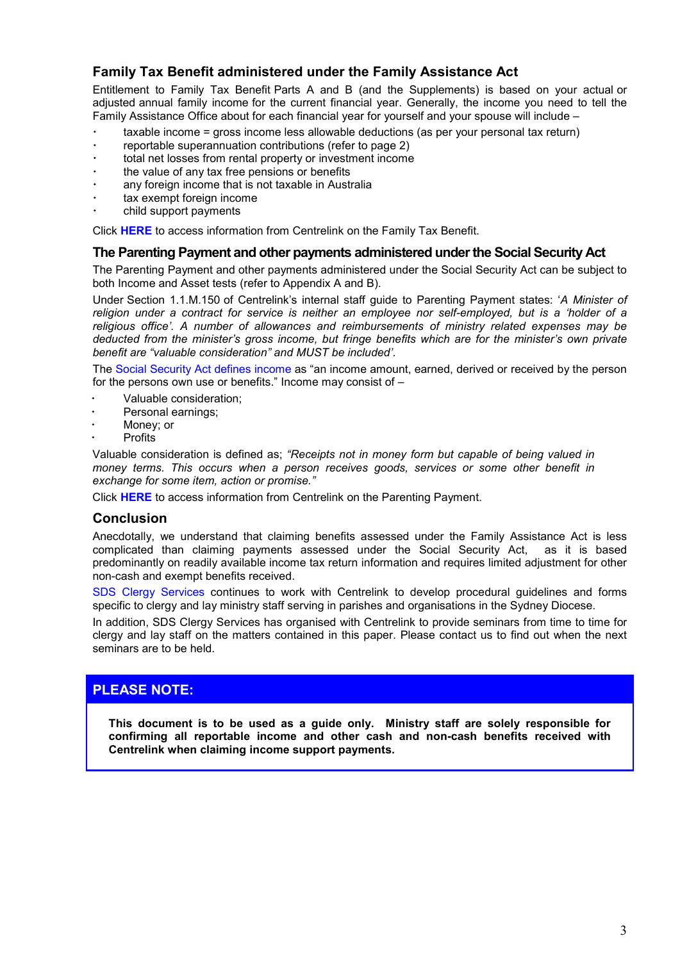### **Family Tax Benefit administered under the Family Assistance Act**

Entitlement to Family Tax Benefit Parts A and B (and the Supplements) is based on your actual or adjusted annual family income for the current financial year. Generally, the income you need to tell the Family Assistance Office about for each financial year for yourself and your spouse will include –

- $\cdot$  taxable income = gross income less allowable deductions (as per your personal tax return)
- reportable superannuation contributions (refer to page 2)
- total net losses from rental property or investment income
- the value of any tax free pensions or benefits
- any foreign income that is not taxable in Australia
- tax exempt foreign income
- child support payments

Click **[HERE](http://www.centrelink.gov.au/internet/internet.nsf/factors/family_assistance.htm)** to access information from Centrelink on the Family Tax Benefit.

#### **The Parenting Payment and other payments administered under the Social Security Act**

The Parenting Payment and other payments administered under the Social Security Act can be subject to both Income and Asset tests (refer to Appendix A and B).

Under Section 1.1.M.150 of Centrelink's internal staff guide to Parenting Payment states: '*A Minister of religion under a contract for service is neither an employee nor self-employed, but is a 'holder of a religious office'. A number of allowances and reimbursements of ministry related expenses may be deducted from the minister's gross income, but fringe benefits which are for the minister's own private benefit are "valuable consideration" and MUST be included'*.

The [Social Security Act defines income](http://www.austlii.edu.au/au/legis/cth/consol_act/ssa1991186/s8.html) as "an income amount, earned, derived or received by the person for the persons own use or benefits." Income may consist of –

- Valuable consideration;
- Personal earnings;
- Money; or
- Profits

Valuable consideration is defined as; *"Receipts not in money form but capable of being valued in money terms. This occurs when a person receives goods, services or some other benefit in exchange for some item, action or promise."*

Click **[HERE](http://www.centrelink.gov.au/internet/internet.nsf/payments/parenting.htm)** to access information from Centrelink on the Parenting Payment.

#### **Conclusion**

Anecdotally, we understand that claiming benefits assessed under the Family Assistance Act is less complicated than claiming payments assessed under the Social Security Act, as it is based predominantly on readily available income tax return information and requires limited adjustment for other non-cash and exempt benefits received.

[SDS Clergy Services](mailto:clergyservices@sydney.anglican.asn.au) continues to work with Centrelink to develop procedural guidelines and forms specific to clergy and lay ministry staff serving in parishes and organisations in the Sydney Diocese.

In addition, SDS Clergy Services has organised with Centrelink to provide seminars from time to time for clergy and lay staff on the matters contained in this paper. Please contact us to find out when the next seminars are to be held.

#### **PLEASE NOTE:**

**This document is to be used as a guide only. Ministry staff are solely responsible for confirming all reportable income and other cash and non-cash benefits received with Centrelink when claiming income support payments.**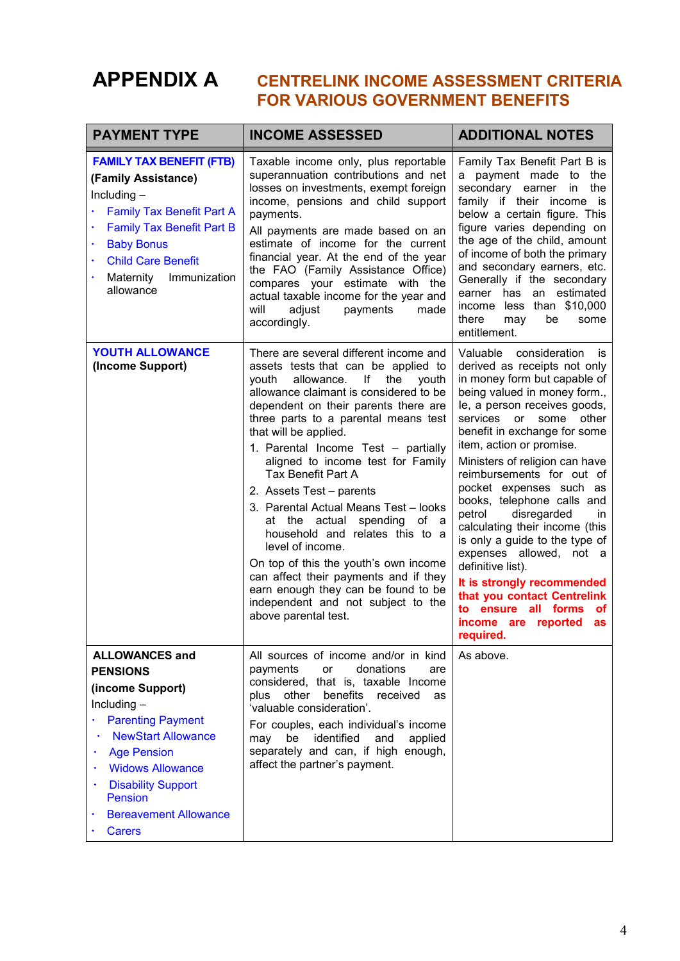# **APPENDIX A CENTRELINK INCOME ASSESSMENT CRITERIA FOR VARIOUS GOVERNMENT BENEFITS**

| <b>PAYMENT TYPE</b>                                                                                                                                                                                                                                                                                                               | <b>INCOME ASSESSED</b>                                                                                                                                                                                                                                                                                                                                                                                                                                                                                                                                                                                                                                                                                                                         | <b>ADDITIONAL NOTES</b>                                                                                                                                                                                                                                                                                                                                                                                                                                                                                                                                                                                                                                                  |
|-----------------------------------------------------------------------------------------------------------------------------------------------------------------------------------------------------------------------------------------------------------------------------------------------------------------------------------|------------------------------------------------------------------------------------------------------------------------------------------------------------------------------------------------------------------------------------------------------------------------------------------------------------------------------------------------------------------------------------------------------------------------------------------------------------------------------------------------------------------------------------------------------------------------------------------------------------------------------------------------------------------------------------------------------------------------------------------------|--------------------------------------------------------------------------------------------------------------------------------------------------------------------------------------------------------------------------------------------------------------------------------------------------------------------------------------------------------------------------------------------------------------------------------------------------------------------------------------------------------------------------------------------------------------------------------------------------------------------------------------------------------------------------|
| <b>FAMILY TAX BENEFIT (FTB)</b><br>(Family Assistance)<br>Including $-$<br><b>Family Tax Benefit Part A</b><br><b>Family Tax Benefit Part B</b><br><b>Baby Bonus</b><br>٠<br><b>Child Care Benefit</b><br>Immunization<br>Maternity<br>allowance                                                                                  | Taxable income only, plus reportable<br>superannuation contributions and net<br>losses on investments, exempt foreign<br>income, pensions and child support<br>payments.<br>All payments are made based on an<br>estimate of income for the current<br>financial year. At the end of the year<br>the FAO (Family Assistance Office)<br>compares your estimate with the<br>actual taxable income for the year and<br>adjust<br>payments<br>will<br>made<br>accordingly.                                                                                                                                                                                                                                                                         | Family Tax Benefit Part B is<br>a payment made to the<br>secondary earner<br>the<br>in<br>family if their income is<br>below a certain figure. This<br>figure varies depending on<br>the age of the child, amount<br>of income of both the primary<br>and secondary earners, etc.<br>Generally if the secondary<br>earner has<br>an estimated<br>income less than \$10,000<br>there<br>be<br>may<br>some<br>entitlement.                                                                                                                                                                                                                                                 |
| YOUTH ALLOWANCE<br>(Income Support)                                                                                                                                                                                                                                                                                               | There are several different income and<br>assets tests that can be applied to<br>allowance.<br>lf<br>the<br>vouth<br>youth<br>allowance claimant is considered to be<br>dependent on their parents there are<br>three parts to a parental means test<br>that will be applied.<br>1. Parental Income Test - partially<br>aligned to income test for Family<br><b>Tax Benefit Part A</b><br>2. Assets Test - parents<br>3. Parental Actual Means Test - looks<br>spending<br>at the actual<br>of a<br>household and relates this to a<br>level of income.<br>On top of this the youth's own income<br>can affect their payments and if they<br>earn enough they can be found to be<br>independent and not subject to the<br>above parental test. | Valuable consideration<br>is<br>derived as receipts not only<br>in money form but capable of<br>being valued in money form.,<br>le, a person receives goods,<br>other<br>services<br>or some<br>benefit in exchange for some<br>item, action or promise.<br>Ministers of religion can have<br>reimbursements for out of<br>pocket expenses such as<br>books, telephone calls and<br>petrol<br>disregarded<br>in.<br>calculating their income (this<br>is only a guide to the type of<br>expenses allowed, not a<br>definitive list).<br>It is strongly recommended<br>that you contact Centrelink<br>to ensure all forms<br>οf<br>income are reported<br>as<br>required. |
| <b>ALLOWANCES and</b><br><b>PENSIONS</b><br>(income Support)<br>Including $-$<br><b>Parenting Payment</b><br>$\bullet$<br><b>NewStart Allowance</b><br>٠<br><b>Age Pension</b><br>٠<br><b>Widows Allowance</b><br>$\bullet$<br><b>Disability Support</b><br>$\bullet$<br>Pension<br><b>Bereavement Allowance</b><br><b>Carers</b> | All sources of income and/or in kind<br>donations<br>payments<br>or<br>are<br>considered, that is, taxable Income<br>plus other<br>benefits<br>received<br>as<br>'valuable consideration'.<br>For couples, each individual's income<br>may<br>be<br>identified<br>and<br>applied<br>separately and can, if high enough,<br>affect the partner's payment.                                                                                                                                                                                                                                                                                                                                                                                       | As above.                                                                                                                                                                                                                                                                                                                                                                                                                                                                                                                                                                                                                                                                |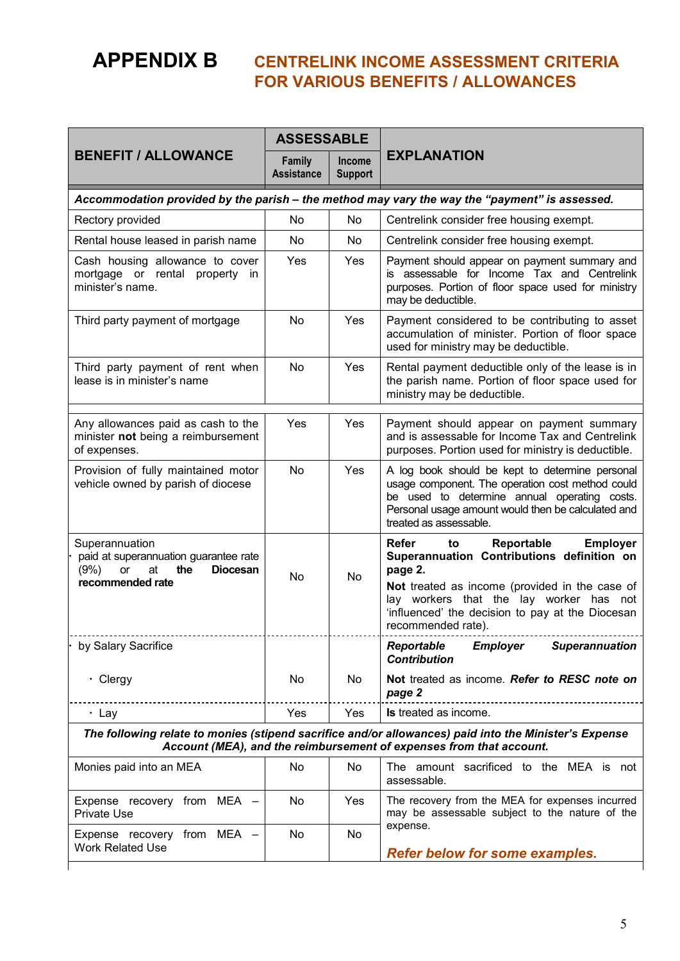# **APPENDIX B CENTRELINK INCOME ASSESSMENT CRITERIA FOR VARIOUS BENEFITS / ALLOWANCES**

|                                                                                                                                                                              | <b>ASSESSABLE</b>           |                          |                                                                                                                                                                                                                                                                                     |  |  |  |
|------------------------------------------------------------------------------------------------------------------------------------------------------------------------------|-----------------------------|--------------------------|-------------------------------------------------------------------------------------------------------------------------------------------------------------------------------------------------------------------------------------------------------------------------------------|--|--|--|
| <b>BENEFIT / ALLOWANCE</b>                                                                                                                                                   | Family<br><b>Assistance</b> | Income<br><b>Support</b> | <b>EXPLANATION</b>                                                                                                                                                                                                                                                                  |  |  |  |
| Accommodation provided by the parish - the method may vary the way the "payment" is assessed.                                                                                |                             |                          |                                                                                                                                                                                                                                                                                     |  |  |  |
| Rectory provided                                                                                                                                                             | <b>No</b>                   | No                       | Centrelink consider free housing exempt.                                                                                                                                                                                                                                            |  |  |  |
| Rental house leased in parish name                                                                                                                                           | <b>No</b>                   | No.                      | Centrelink consider free housing exempt.                                                                                                                                                                                                                                            |  |  |  |
| Cash housing allowance to cover<br>mortgage or rental property in<br>minister's name.                                                                                        | Yes                         | Yes                      | Payment should appear on payment summary and<br>is assessable for Income Tax and Centrelink<br>purposes. Portion of floor space used for ministry<br>may be deductible.                                                                                                             |  |  |  |
| Third party payment of mortgage                                                                                                                                              | <b>No</b>                   | Yes                      | Payment considered to be contributing to asset<br>accumulation of minister. Portion of floor space<br>used for ministry may be deductible.                                                                                                                                          |  |  |  |
| Third party payment of rent when<br>lease is in minister's name                                                                                                              | <b>No</b>                   | Yes                      | Rental payment deductible only of the lease is in<br>the parish name. Portion of floor space used for<br>ministry may be deductible.                                                                                                                                                |  |  |  |
| Any allowances paid as cash to the<br>minister not being a reimbursement<br>of expenses.                                                                                     | Yes                         | <b>Yes</b>               | Payment should appear on payment summary<br>and is assessable for Income Tax and Centrelink<br>purposes. Portion used for ministry is deductible.                                                                                                                                   |  |  |  |
| Provision of fully maintained motor<br>vehicle owned by parish of diocese                                                                                                    | No                          | Yes                      | A log book should be kept to determine personal<br>usage component. The operation cost method could<br>be used to determine annual operating costs.<br>Personal usage amount would then be calculated and<br>treated as assessable.                                                 |  |  |  |
| Superannuation<br>paid at superannuation guarantee rate<br>the<br><b>Diocesan</b><br>(9%)<br>at<br>or<br>recommended rate                                                    | <b>No</b>                   | <b>No</b>                | <b>Employer</b><br><b>Refer</b><br>Reportable<br>to<br>Superannuation Contributions definition on<br>page 2.<br>Not treated as income (provided in the case of<br>lay workers that the lay worker has not<br>'influenced' the decision to pay at the Diocesan<br>recommended rate). |  |  |  |
| by Salary Sacrifice                                                                                                                                                          |                             |                          | <b>Employer</b><br><b>Reportable</b><br><b>Superannuation</b><br><b>Contribution</b>                                                                                                                                                                                                |  |  |  |
| $\cdot$ Clergy                                                                                                                                                               | No                          | No                       | Not treated as income. Refer to RESC note on<br>page 2                                                                                                                                                                                                                              |  |  |  |
| $\cdot$ Lay                                                                                                                                                                  | Yes                         | Yes                      | Is treated as income.                                                                                                                                                                                                                                                               |  |  |  |
| The following relate to monies (stipend sacrifice and/or allowances) paid into the Minister's Expense<br>Account (MEA), and the reimbursement of expenses from that account. |                             |                          |                                                                                                                                                                                                                                                                                     |  |  |  |
| Monies paid into an MEA                                                                                                                                                      | No                          | No                       | The amount sacrificed to the MEA is not<br>assessable.                                                                                                                                                                                                                              |  |  |  |
| Expense recovery from MEA -<br><b>Private Use</b>                                                                                                                            | No                          | Yes                      | The recovery from the MEA for expenses incurred<br>may be assessable subject to the nature of the<br>expense.<br><b>Refer below for some examples.</b>                                                                                                                              |  |  |  |
| Expense recovery from MEA -<br><b>Work Related Use</b>                                                                                                                       | No                          | No                       |                                                                                                                                                                                                                                                                                     |  |  |  |